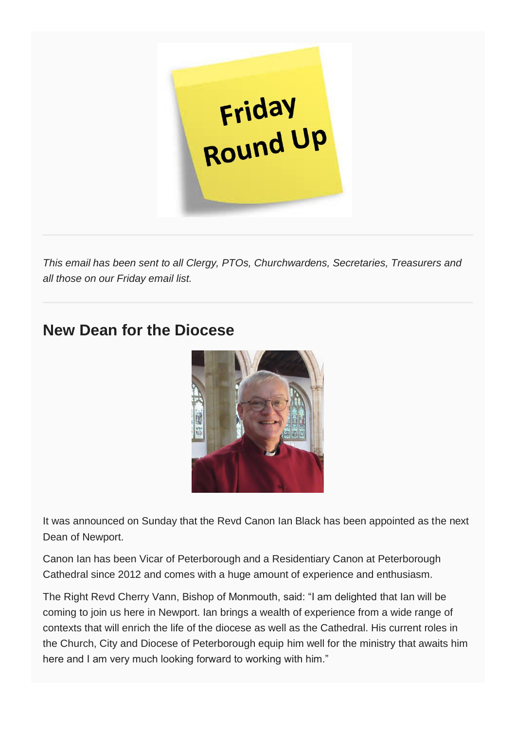

*This email has been sent to all Clergy, PTOs, Churchwardens, Secretaries, Treasurers and all those on our Friday email list.*

### **New Dean for the Diocese**



It was announced on Sunday that the Revd Canon Ian Black has been appointed as the next Dean of Newport.

Canon Ian has been Vicar of Peterborough and a Residentiary Canon at Peterborough Cathedral since 2012 and comes with a huge amount of experience and enthusiasm.

The Right Revd Cherry Vann, Bishop of Monmouth, said: "I am delighted that Ian will be coming to join us here in Newport. Ian brings a wealth of experience from a wide range of contexts that will enrich the life of the diocese as well as the Cathedral. His current roles in the Church, City and Diocese of Peterborough equip him well for the ministry that awaits him here and I am very much looking forward to working with him."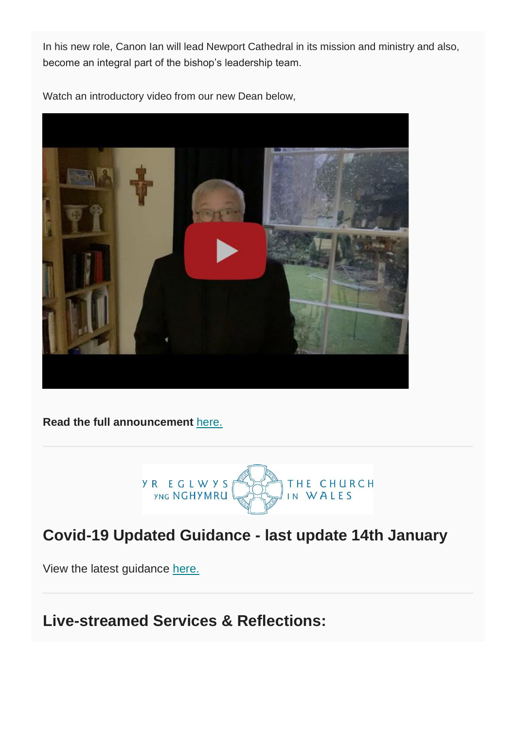In his new role, Canon Ian will lead Newport Cathedral in its mission and ministry and also, become an integral part of the bishop's leadership team.

Watch an introductory video from our new Dean below,



**Read the full announcement** [here.](https://monmouth.churchinwales.org.uk/en/news-and-events/new-dean-diocese/)



## **Covid-19 Updated Guidance - last update 14th January**

View the latest guidance [here.](https://www.churchinwales.org.uk/en/clergy-and-members/coronavirus-covid-19-guidance/)

**Live-streamed Services & Reflections:**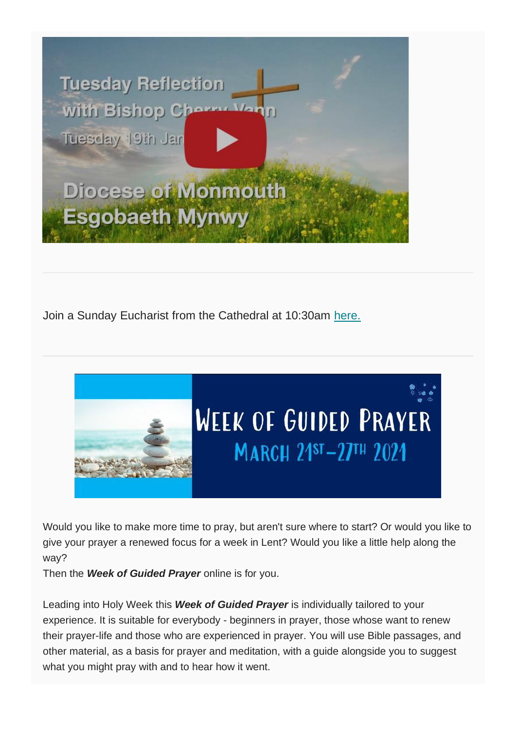

Join a Sunday Eucharist from the Cathedral at 10:30am [here.](https://www.youtube.com/watch?v=FsYwexsKufU)



Would you like to make more time to pray, but aren't sure where to start? Or would you like to give your prayer a renewed focus for a week in Lent? Would you like a little help along the way?

Then the *Week of Guided Prayer* online is for you.

Leading into Holy Week this *Week of Guided Prayer* is individually tailored to your experience. It is suitable for everybody - beginners in prayer, those whose want to renew their prayer-life and those who are experienced in prayer. You will use Bible passages, and other material, as a basis for prayer and meditation, with a guide alongside you to suggest what you might pray with and to hear how it went.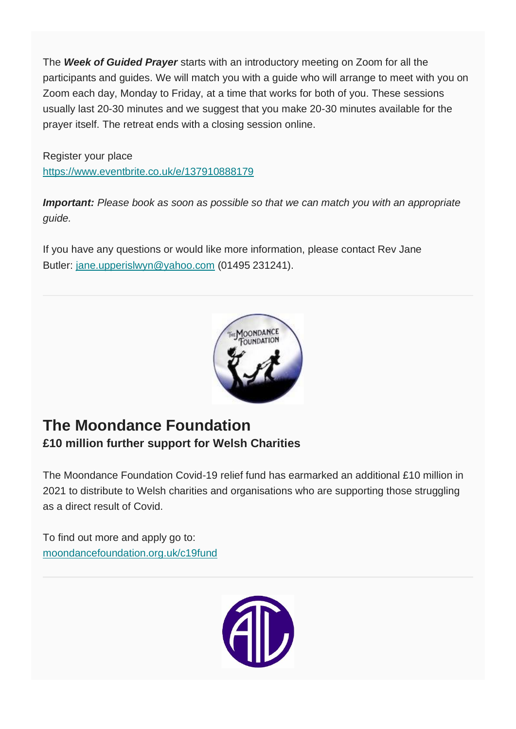The *Week of Guided Prayer* starts with an introductory meeting on Zoom for all the participants and guides. We will match you with a guide who will arrange to meet with you on Zoom each day, Monday to Friday, at a time that works for both of you. These sessions usually last 20-30 minutes and we suggest that you make 20-30 minutes available for the prayer itself. The retreat ends with a closing session online.

Register your place <https://www.eventbrite.co.uk/e/137910888179>

*Important: Please book as soon as possible so that we can match you with an appropriate guide.*

If you have any questions or would like more information, please contact Rev Jane Butler: [jane.upperislwyn@yahoo.com](mailto:jane.upperislwyn@yahoo.com) (01495 231241).



### **The Moondance Foundation £10 million further support for Welsh Charities**

The Moondance Foundation Covid-19 relief fund has earmarked an additional £10 million in 2021 to distribute to Welsh charities and organisations who are supporting those struggling as a direct result of Covid.

To find out more and apply go to: [moondancefoundation.org.uk/c19fund](http://moondancefoundation.org.uk/c19fund) 

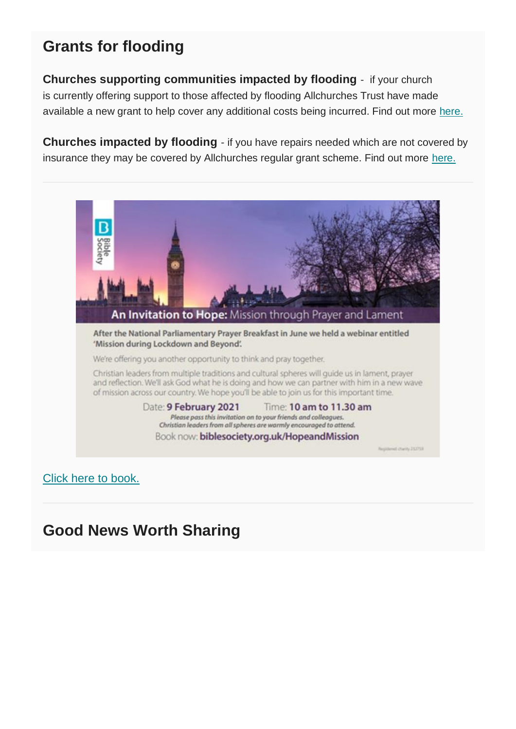## **Grants for flooding**

**Churches supporting communities impacted by flooding** - if your church is currently offering support to those affected by flooding Allchurches Trust have made available a new grant to help cover any additional costs being incurred. Find out more [here.](https://www.allchurches.co.uk/news/funding-for-churches-supporting-flood-hit-communities/)

**Churches impacted by flooding** - if you have repairs needed which are not covered by insurance they may be covered by Allchurches regular grant scheme. Find out more [here.](https://www.allchurches.co.uk/)



[Click here to book.](https://www.eventbrite.co.uk/e/an-invitation-to-hope-mission-through-prayer-and-lament-tickets-129701395365)

## **Good News Worth Sharing**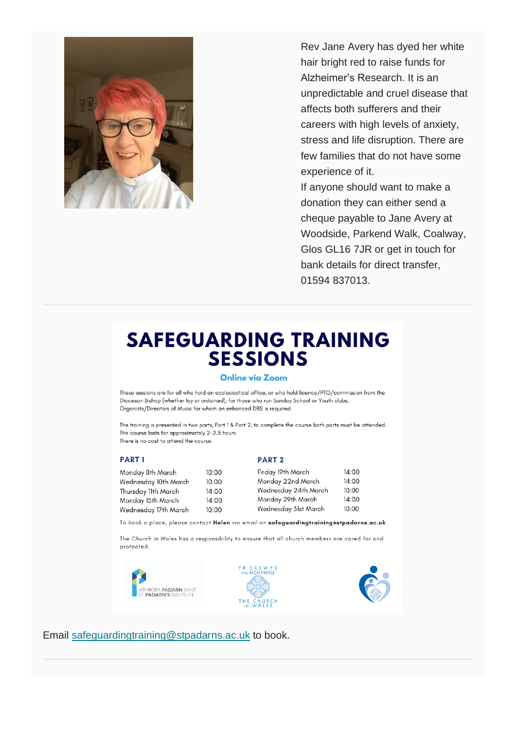

Rev Jane Avery has dyed her white hair bright red to raise funds for Alzheimer's Research. It is an unpredictable and cruel disease that affects both sufferers and their careers with high levels of anxiety, stress and life disruption. There are few families that do not have some experience of it. If anyone should want to make a donation they can either send a

cheque payable to Jane Avery at Woodside, Parkend Walk, Coalway, Glos GL16 7JR or get in touch for bank details for direct transfer, 01594 837013.

# **SAFEGUARDING TRAINING SESSIONS**

#### **Online via Zoom**

These sessions are for all who hold an ecclesiastical office, or who hold licence/PTO/commission from the Diocesan Bishop (whether lay or ordained), for those who run Sunday School or Youth clubs, Organists/Directors of Music for whom an enhanced DBS is required.

The training is presented in two parts, Part 1 & Part 2, to complete the course both parts must be attended. The course lasts for approximately 2-2.5 hours. There is no cost to attend the course.

#### **PART1**

#### Monday 8t Wednesda Thursday 11 Monday 15

#### **PART 2**

| Monday 8th March     | 10:00 | Friday 19th March    | 14:00 |
|----------------------|-------|----------------------|-------|
| Wednesday 10th March | 10:00 | Monday 22nd March    | 14:00 |
| Thursday 11th March  | 14:00 | Wednesday 24th March | 10:00 |
| Monday 15th March    | 14:00 | Monday 29th March    | 14:00 |
| Wednesday 17th March | 10:00 | Wednesday 31st March | 10:00 |

To book a place, please contact Helen via email on safeguardingtraining@stpadarns.ac.uk

The Church in Wales has a responsibility to ensure that all church members are cared for and protected.







Email [safeguardingtraining@stpadarns.ac.uk](mailto:safeguardingtraining@stpadarns.ac.uk) to book.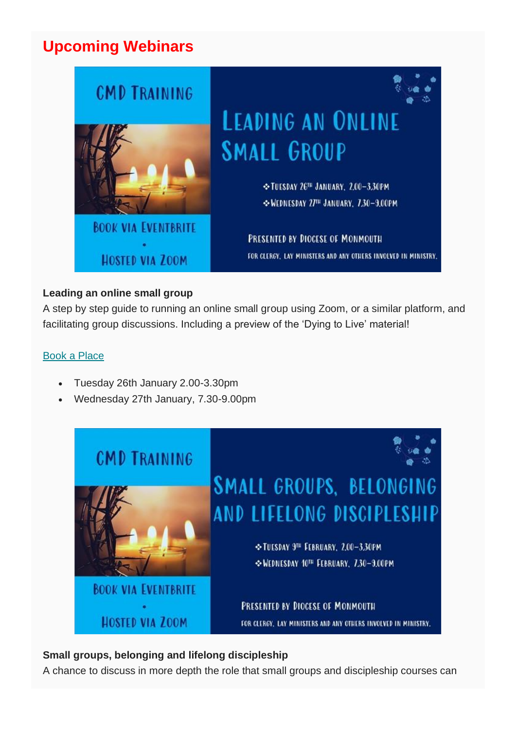### **Upcoming Webinars**



### **Leading an online small group**

A step by step guide to running an online small group using Zoom, or a similar platform, and facilitating group discussions. Including a preview of the 'Dying to Live' material!

#### [Book a Place](https://www.eventbrite.co.uk/e/leading-an-online-small-group-registration-133325864249)

- Tuesday 26th January 2.00-3.30pm
- Wednesday 27th January, 7.30-9.00pm



#### **Small groups, belonging and lifelong discipleship**

A chance to discuss in more depth the role that small groups and discipleship courses can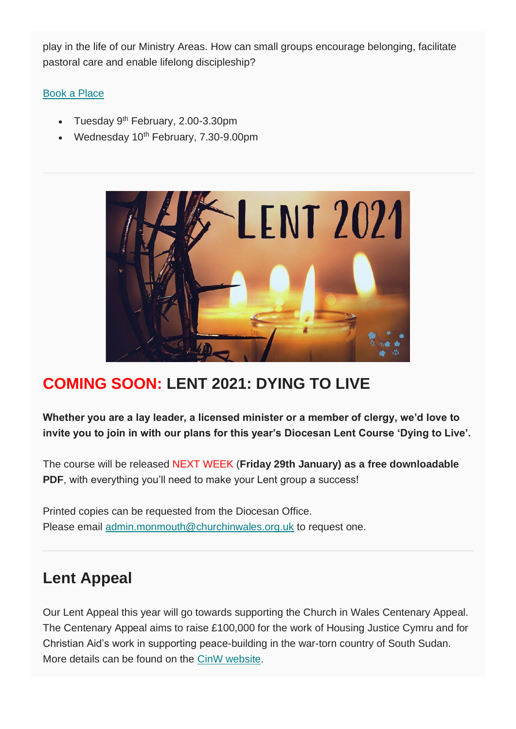play in the life of our Ministry Areas. How can small groups encourage belonging, facilitate pastoral care and enable lifelong discipleship?

### [Book a Place](https://www.eventbrite.co.uk/e/cmd-small-groups-belonging-and-lifelong-discipleship-registration-133330738829)

- Tuesday 9<sup>th</sup> February, 2.00-3.30pm
- Wednesday 10<sup>th</sup> February, 7.30-9.00pm



# **COMING SOON: LENT 2021: DYING TO LIVE**

**Whether you are a lay leader, a licensed minister or a member of clergy, we'd love to invite you to join in with our plans for this year's Diocesan Lent Course 'Dying to Live'.**

The course will be released NEXT WEEK (**Friday 29th January) as a free downloadable PDF**, with everything you'll need to make your Lent group a success!

Printed copies can be requested from the Diocesan Office. Please email [admin.monmouth@churchinwales.org.uk](http://admin.monmouth@churchinwales.org.uk/) to request one.

## **Lent Appeal**

Our Lent Appeal this year will go towards supporting the Church in Wales Centenary Appeal. The Centenary Appeal aims to raise £100,000 for the work of Housing Justice Cymru and for Christian Aid's work in supporting peace-building in the war-torn country of South Sudan. More details can be found on the [CinW website.](https://www.churchinwales.org.uk/en/about-us/our-campaigns/centenary-appeal/)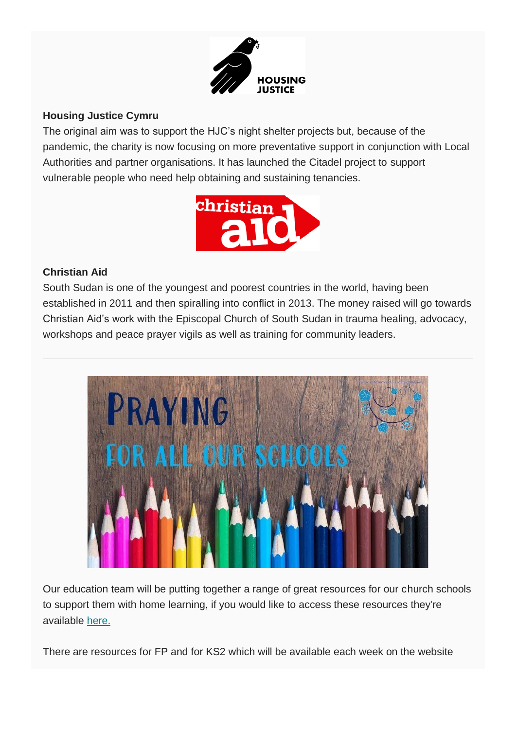

#### **Housing Justice Cymru**

The original aim was to support the HJC's night shelter projects but, because of the pandemic, the charity is now focusing on more preventative support in conjunction with Local Authorities and partner organisations. It has launched the Citadel project to support vulnerable people who need help obtaining and sustaining tenancies.



### **Christian Aid**

South Sudan is one of the youngest and poorest countries in the world, having been established in 2011 and then spiralling into conflict in 2013. The money raised will go towards Christian Aid's work with the Episcopal Church of South Sudan in trauma healing, advocacy, workshops and peace prayer vigils as well as training for community leaders.



Our education team will be putting together a range of great resources for our church schools to support them with home learning, if you would like to access these resources they're available [here.](https://monmouth.churchinwales.org.uk/en/schools-and-families/church-schools/resources/)

There are resources for FP and for KS2 which will be available each week on the website